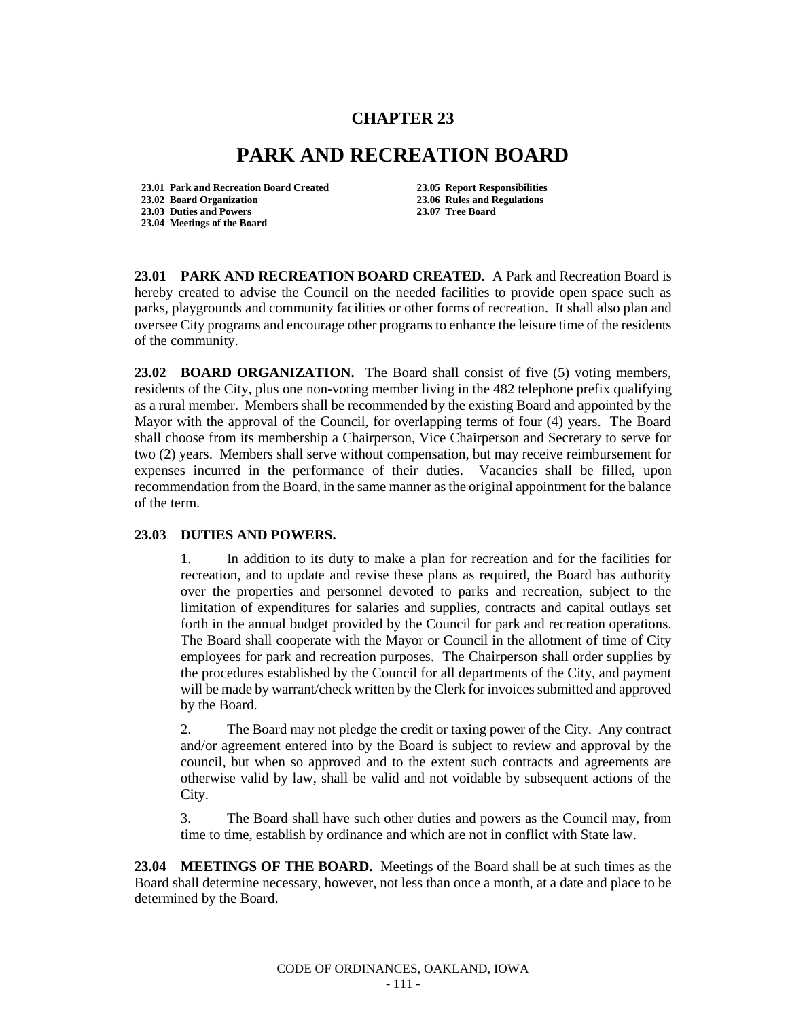## **CHAPTER 23**

## **PARK AND RECREATION BOARD**

**23.01 Park and Recreation Board Created 23.05 Report Responsibilities 23.02 Board Organization 23.06 Rules and Regulations 23.03 Duties and Powers 23.04 Meetings of the Board**

**23.01 PARK AND RECREATION BOARD CREATED.** A Park and Recreation Board is hereby created to advise the Council on the needed facilities to provide open space such as parks, playgrounds and community facilities or other forms of recreation. It shall also plan and oversee City programs and encourage other programs to enhance the leisure time of the residents of the community.

**23.02 BOARD ORGANIZATION.** The Board shall consist of five (5) voting members, residents of the City, plus one non-voting member living in the 482 telephone prefix qualifying as a rural member. Members shall be recommended by the existing Board and appointed by the Mayor with the approval of the Council, for overlapping terms of four (4) years. The Board shall choose from its membership a Chairperson, Vice Chairperson and Secretary to serve for two (2) years. Members shall serve without compensation, but may receive reimbursement for expenses incurred in the performance of their duties. Vacancies shall be filled, upon recommendation from the Board, in the same manner as the original appointment for the balance of the term.

## **23.03 DUTIES AND POWERS.**

1. In addition to its duty to make a plan for recreation and for the facilities for recreation, and to update and revise these plans as required, the Board has authority over the properties and personnel devoted to parks and recreation, subject to the limitation of expenditures for salaries and supplies, contracts and capital outlays set forth in the annual budget provided by the Council for park and recreation operations. The Board shall cooperate with the Mayor or Council in the allotment of time of City employees for park and recreation purposes. The Chairperson shall order supplies by the procedures established by the Council for all departments of the City, and payment will be made by warrant/check written by the Clerk for invoices submitted and approved by the Board.

2. The Board may not pledge the credit or taxing power of the City. Any contract and/or agreement entered into by the Board is subject to review and approval by the council, but when so approved and to the extent such contracts and agreements are otherwise valid by law, shall be valid and not voidable by subsequent actions of the City.

3. The Board shall have such other duties and powers as the Council may, from time to time, establish by ordinance and which are not in conflict with State law.

**23.04 MEETINGS OF THE BOARD.** Meetings of the Board shall be at such times as the Board shall determine necessary, however, not less than once a month, at a date and place to be determined by the Board.